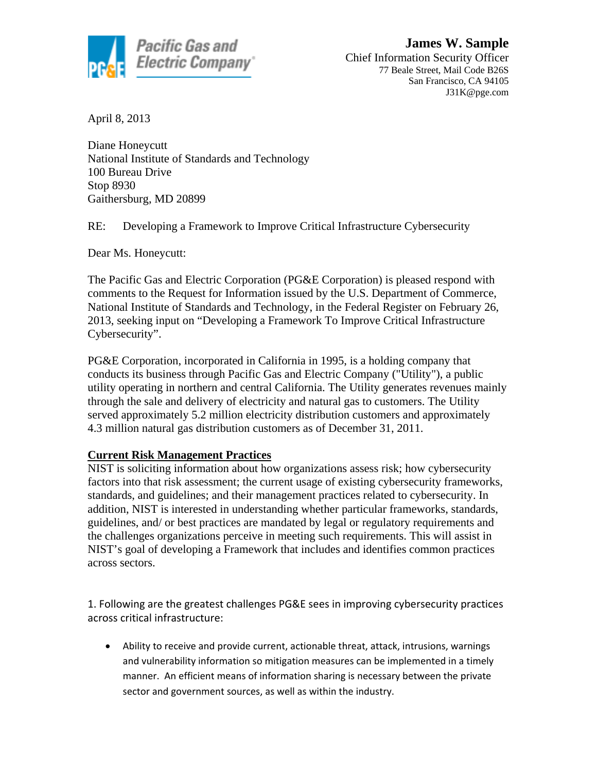

April 8, 2013

Diane Honeycutt National Institute of Standards and Technology 100 Bureau Drive Stop 8930 Gaithersburg, MD 20899

RE: Developing a Framework to Improve Critical Infrastructure Cybersecurity

Dear Ms. Honeycutt:

The Pacific Gas and Electric Corporation (PG&E Corporation) is pleased respond with comments to the Request for Information issued by the U.S. Department of Commerce, National Institute of Standards and Technology, in the Federal Register on February 26, 2013, seeking input on "Developing a Framework To Improve Critical Infrastructure Cybersecurity".

PG&E Corporation, incorporated in California in 1995, is a holding company that conducts its business through Pacific Gas and Electric Company ("Utility"), a public utility operating in northern and central California. The Utility generates revenues mainly through the sale and delivery of electricity and natural gas to customers. The Utility served approximately 5.2 million electricity distribution customers and approximately 4.3 million natural gas distribution customers as of December 31, 2011.

## **Current Risk Management Practices**

NIST is soliciting information about how organizations assess risk; how cybersecurity factors into that risk assessment; the current usage of existing cybersecurity frameworks, standards, and guidelines; and their management practices related to cybersecurity. In addition, NIST is interested in understanding whether particular frameworks, standards, guidelines, and/ or best practices are mandated by legal or regulatory requirements and the challenges organizations perceive in meeting such requirements. This will assist in NIST's goal of developing a Framework that includes and identifies common practices across sectors.

1. Following are the greatest challenges PG&E sees in improving cybersecurity practices across critical infrastructure:

• Ability to receive and provide current, actionable threat, attack, intrusions, warnings and vulnerability information so mitigation measures can be implemented in a timely manner. An efficient means of information sharing is necessary between the private sector and government sources, as well as within the industry.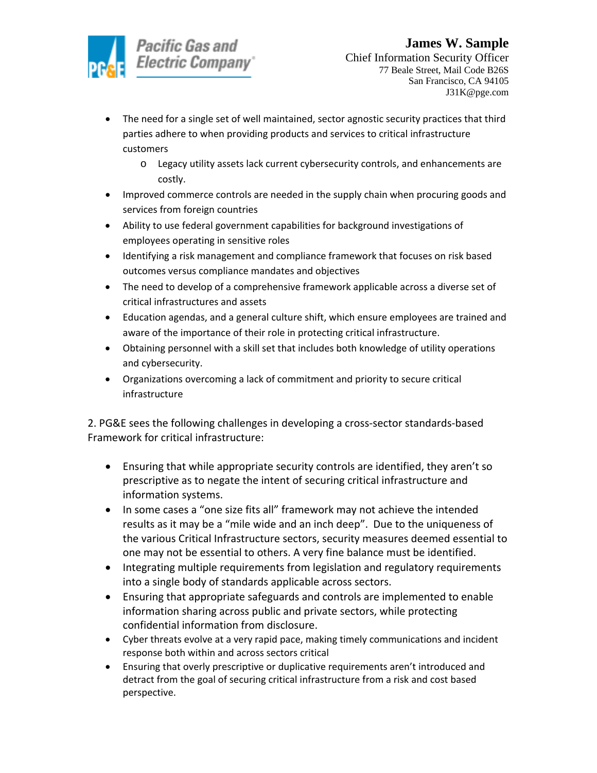

- The need for a single set of well maintained, sector agnostic security practices that third parties adhere to when providing products and services to critical infrastructure customers
	- o Legacy utility assets lack current cybersecurity controls, and enhancements are costly.
- Improved commerce controls are needed in the supply chain when procuring goods and services from foreign countries
- Ability to use federal government capabilities for background investigations of employees operating in sensitive roles
- Identifying a risk management and compliance framework that focuses on risk based outcomes versus compliance mandates and objectives
- The need to develop of a comprehensive framework applicable across a diverse set of critical infrastructures and assets
- Education agendas, and a general culture shift, which ensure employees are trained and aware of the importance of their role in protecting critical infrastructure.
- Obtaining personnel with a skill set that includes both knowledge of utility operations and cybersecurity.
- Organizations overcoming a lack of commitment and priority to secure critical infrastructure

2. PG&E sees the following challenges in developing a cross-sector standards-based Framework for critical infrastructure:

- Ensuring that while appropriate security controls are identified, they aren't so prescriptive as to negate the intent of securing critical infrastructure and information systems.
- In some cases a "one size fits all" framework may not achieve the intended results as it may be a "mile wide and an inch deep". Due to the uniqueness of the various Critical Infrastructure sectors, security measures deemed essential to one may not be essential to others. A very fine balance must be identified.
- Integrating multiple requirements from legislation and regulatory requirements into a single body of standards applicable across sectors.
- Ensuring that appropriate safeguards and controls are implemented to enable information sharing across public and private sectors, while protecting confidential information from disclosure.
- Cyber threats evolve at a very rapid pace, making timely communications and incident response both within and across sectors critical
- Ensuring that overly prescriptive or duplicative requirements aren't introduced and detract from the goal of securing critical infrastructure from a risk and cost based perspective.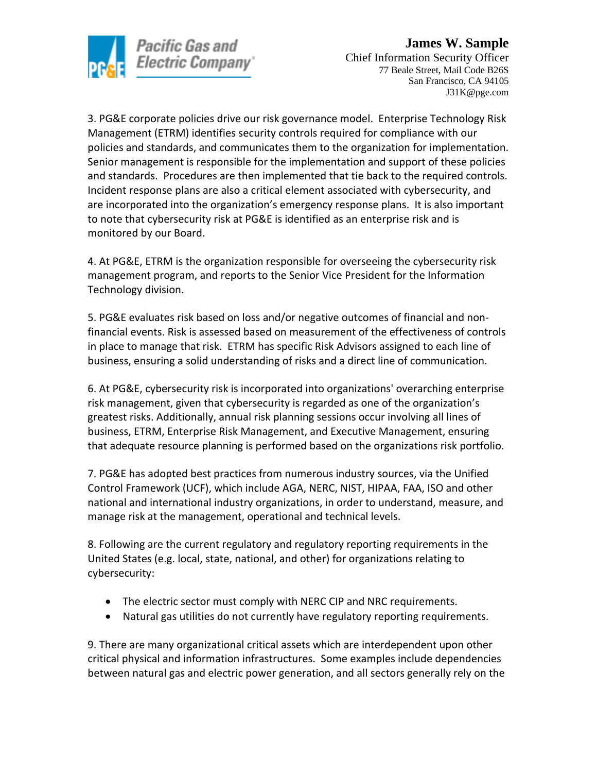

3. PG&E corporate policies drive our risk governance model. Enterprise Technology Risk Management (ETRM) identifies security controls required for compliance with our policies and standards, and communicates them to the organization for implementation. Senior management is responsible for the implementation and support of these policies and standards. Procedures are then implemented that tie back to the required controls. Incident response plans are also a critical element associated with cybersecurity, and are incorporated into the organization's emergency response plans. It is also important to note that cybersecurity risk at PG&E is identified as an enterprise risk and is monitored by our Board.

4. At PG&E, ETRM is the organization responsible for overseeing the cybersecurity risk management program, and reports to the Senior Vice President for the Information Technology division.

5. PG&E evaluates risk based on loss and/or negative outcomes of financial and nonfinancial events. Risk is assessed based on measurement of the effectiveness of controls in place to manage that risk. ETRM has specific Risk Advisors assigned to each line of business, ensuring a solid understanding of risks and a direct line of communication.

6. At PG&E, cybersecurity risk is incorporated into organizations' overarching enterprise risk management, given that cybersecurity is regarded as one of the organization's greatest risks. Additionally, annual risk planning sessions occur involving all lines of business, ETRM, Enterprise Risk Management, and Executive Management, ensuring that adequate resource planning is performed based on the organizations risk portfolio.

7. PG&E has adopted best practices from numerous industry sources, via the Unified Control Framework (UCF), which include AGA, NERC, NIST, HIPAA, FAA, ISO and other national and international industry organizations, in order to understand, measure, and manage risk at the management, operational and technical levels.

8. Following are the current regulatory and regulatory reporting requirements in the United States (e.g. local, state, national, and other) for organizations relating to cybersecurity:

- The electric sector must comply with NERC CIP and NRC requirements.
- Natural gas utilities do not currently have regulatory reporting requirements.

9. There are many organizational critical assets which are interdependent upon other critical physical and information infrastructures. Some examples include dependencies between natural gas and electric power generation, and all sectors generally rely on the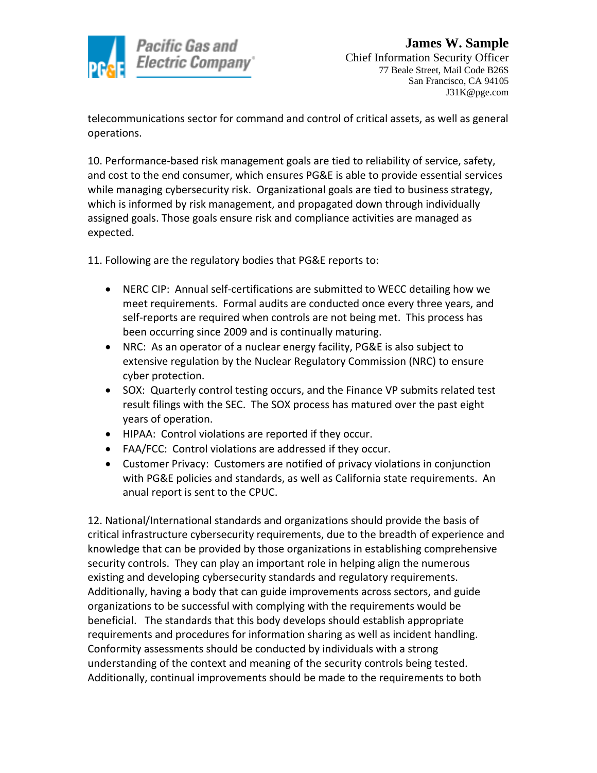

telecommunications sector for command and control of critical assets, as well as general operations.

10. Performance-based risk management goals are tied to reliability of service, safety, and cost to the end consumer, which ensures PG&E is able to provide essential services while managing cybersecurity risk. Organizational goals are tied to business strategy, which is informed by risk management, and propagated down through individually assigned goals. Those goals ensure risk and compliance activities are managed as expected.

11. Following are the regulatory bodies that PG&E reports to:

- NERC CIP: Annual self-certifications are submitted to WECC detailing how we meet requirements. Formal audits are conducted once every three years, and self-reports are required when controls are not being met. This process has been occurring since 2009 and is continually maturing.
- NRC: As an operator of a nuclear energy facility, PG&E is also subject to extensive regulation by the Nuclear Regulatory Commission (NRC) to ensure cyber protection.
- SOX: Quarterly control testing occurs, and the Finance VP submits related test result filings with the SEC. The SOX process has matured over the past eight years of operation.
- HIPAA: Control violations are reported if they occur.
- FAA/FCC: Control violations are addressed if they occur.
- Customer Privacy: Customers are notified of privacy violations in conjunction with PG&E policies and standards, as well as California state requirements. An anual report is sent to the CPUC.

12. National/International standards and organizations should provide the basis of critical infrastructure cybersecurity requirements, due to the breadth of experience and knowledge that can be provided by those organizations in establishing comprehensive security controls. They can play an important role in helping align the numerous existing and developing cybersecurity standards and regulatory requirements. Additionally, having a body that can guide improvements across sectors, and guide organizations to be successful with complying with the requirements would be beneficial. The standards that this body develops should establish appropriate requirements and procedures for information sharing as well as incident handling. Conformity assessments should be conducted by individuals with a strong understanding of the context and meaning of the security controls being tested. Additionally, continual improvements should be made to the requirements to both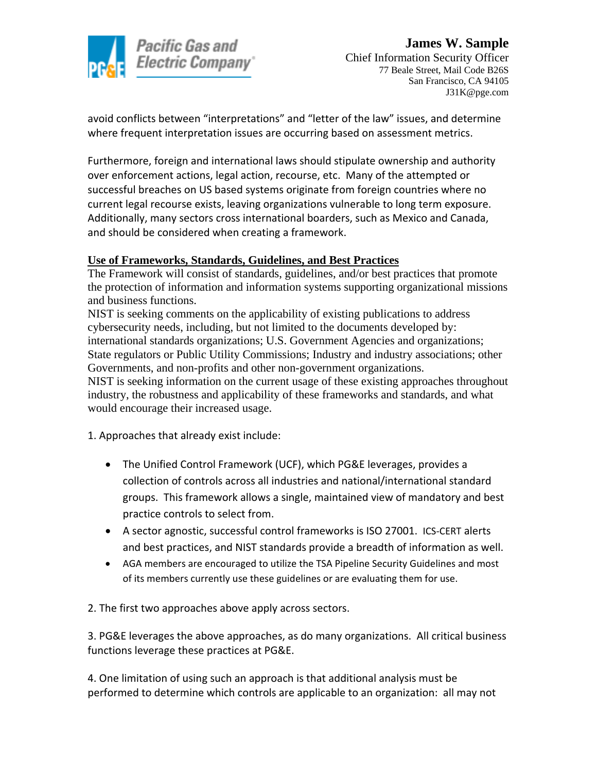

avoid conflicts between "interpretations" and "letter of the law" issues, and determine where frequent interpretation issues are occurring based on assessment metrics.

Furthermore, foreign and international laws should stipulate ownership and authority over enforcement actions, legal action, recourse, etc. Many of the attempted or successful breaches on US based systems originate from foreign countries where no current legal recourse exists, leaving organizations vulnerable to long term exposure. Additionally, many sectors cross international boarders, such as Mexico and Canada, and should be considered when creating a framework.

## **Use of Frameworks, Standards, Guidelines, and Best Practices**

The Framework will consist of standards, guidelines, and/or best practices that promote the protection of information and information systems supporting organizational missions and business functions.

NIST is seeking comments on the applicability of existing publications to address cybersecurity needs, including, but not limited to the documents developed by: international standards organizations; U.S. Government Agencies and organizations; State regulators or Public Utility Commissions; Industry and industry associations; other Governments, and non-profits and other non-government organizations. NIST is seeking information on the current usage of these existing approaches throughout

industry, the robustness and applicability of these frameworks and standards, and what would encourage their increased usage.

1. Approaches that already exist include:

- The Unified Control Framework (UCF), which PG&E leverages, provides a collection of controls across all industries and national/international standard groups. This framework allows a single, maintained view of mandatory and best practice controls to select from.
- A sector agnostic, successful control frameworks is ISO 27001. ICS-CERT alerts and best practices, and NIST standards provide a breadth of information as well.
- AGA members are encouraged to utilize the TSA Pipeline Security Guidelines and most of its members currently use these guidelines or are evaluating them for use.

2. The first two approaches above apply across sectors.

3. PG&E leverages the above approaches, as do many organizations. All critical business functions leverage these practices at PG&E.

4. One limitation of using such an approach is that additional analysis must be performed to determine which controls are applicable to an organization: all may not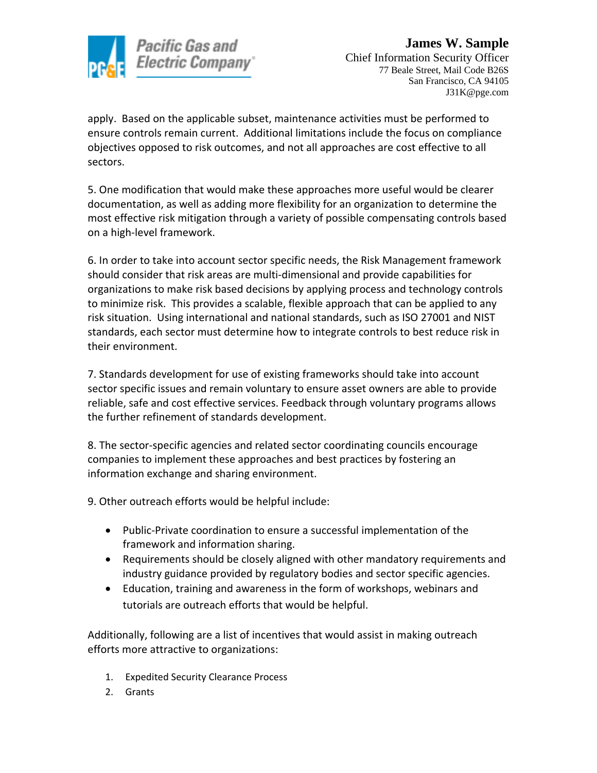

apply. Based on the applicable subset, maintenance activities must be performed to ensure controls remain current. Additional limitations include the focus on compliance objectives opposed to risk outcomes, and not all approaches are cost effective to all sectors.

5. One modification that would make these approaches more useful would be clearer documentation, as well as adding more flexibility for an organization to determine the most effective risk mitigation through a variety of possible compensating controls based on a high-level framework.

6. In order to take into account sector specific needs, the Risk Management framework should consider that risk areas are multi-dimensional and provide capabilities for organizations to make risk based decisions by applying process and technology controls to minimize risk. This provides a scalable, flexible approach that can be applied to any risk situation. Using international and national standards, such as ISO 27001 and NIST standards, each sector must determine how to integrate controls to best reduce risk in their environment.

7. Standards development for use of existing frameworks should take into account sector specific issues and remain voluntary to ensure asset owners are able to provide reliable, safe and cost effective services. Feedback through voluntary programs allows the further refinement of standards development.

8. The sector-specific agencies and related sector coordinating councils encourage companies to implement these approaches and best practices by fostering an information exchange and sharing environment.

9. Other outreach efforts would be helpful include:

- Public-Private coordination to ensure a successful implementation of the framework and information sharing.
- Requirements should be closely aligned with other mandatory requirements and industry guidance provided by regulatory bodies and sector specific agencies.
- Education, training and awareness in the form of workshops, webinars and tutorials are outreach efforts that would be helpful.

Additionally, following are a list of incentives that would assist in making outreach efforts more attractive to organizations:

- 1. Expedited Security Clearance Process
- 2. Grants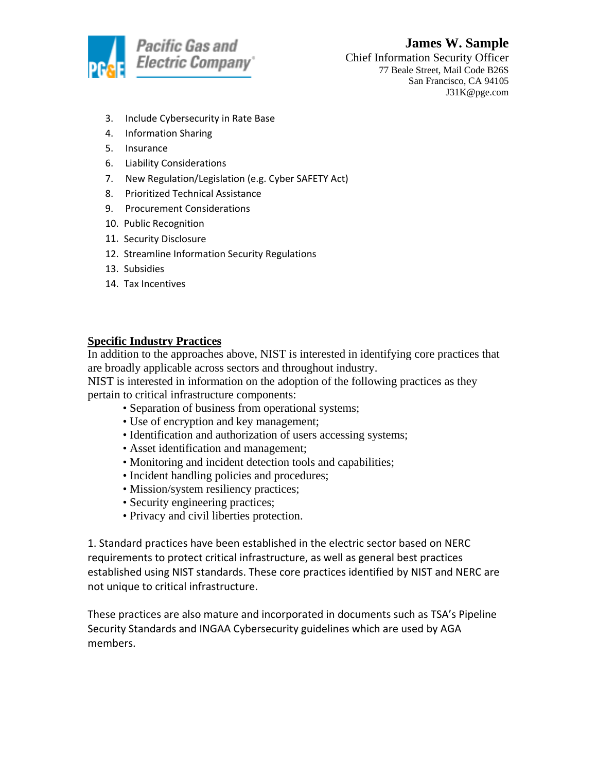

# **James W. Sample** Chief Information Security Officer 77 Beale Street, Mail Code B26S

San Francisco, CA 94105 J31K@pge.com

- 3. Include Cybersecurity in Rate Base
- 4. Information Sharing
- 5. Insurance
- 6. Liability Considerations
- 7. New Regulation/Legislation (e.g. Cyber SAFETY Act)
- 8. Prioritized Technical Assistance
- 9. Procurement Considerations
- 10. Public Recognition
- 11. Security Disclosure
- 12. Streamline Information Security Regulations
- 13. Subsidies
- 14. Tax Incentives

### **Specific Industry Practices**

In addition to the approaches above, NIST is interested in identifying core practices that are broadly applicable across sectors and throughout industry.

NIST is interested in information on the adoption of the following practices as they pertain to critical infrastructure components:

- Separation of business from operational systems;
- Use of encryption and key management;
- Identification and authorization of users accessing systems;
- Asset identification and management;
- Monitoring and incident detection tools and capabilities;
- Incident handling policies and procedures;
- Mission/system resiliency practices;
- Security engineering practices;
- Privacy and civil liberties protection.

1. Standard practices have been established in the electric sector based on NERC requirements to protect critical infrastructure, as well as general best practices established using NIST standards. These core practices identified by NIST and NERC are not unique to critical infrastructure.

These practices are also mature and incorporated in documents such as TSA's Pipeline Security Standards and INGAA Cybersecurity guidelines which are used by AGA members.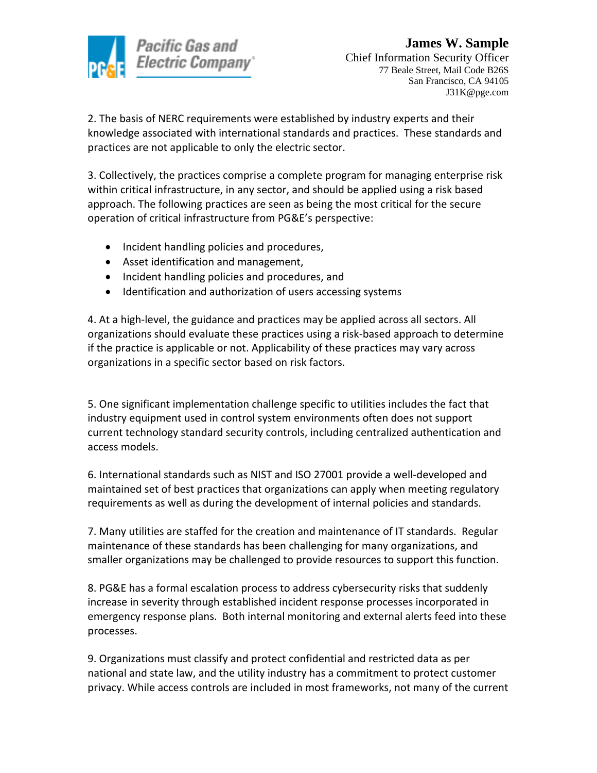

2. The basis of NERC requirements were established by industry experts and their knowledge associated with international standards and practices. These standards and practices are not applicable to only the electric sector.

3. Collectively, the practices comprise a complete program for managing enterprise risk within critical infrastructure, in any sector, and should be applied using a risk based approach. The following practices are seen as being the most critical for the secure operation of critical infrastructure from PG&E's perspective:

- Incident handling policies and procedures,
- Asset identification and management,
- Incident handling policies and procedures, and
- Identification and authorization of users accessing systems

4. At a high-level, the guidance and practices may be applied across all sectors. All organizations should evaluate these practices using a risk-based approach to determine if the practice is applicable or not. Applicability of these practices may vary across organizations in a specific sector based on risk factors.

5. One significant implementation challenge specific to utilities includes the fact that industry equipment used in control system environments often does not support current technology standard security controls, including centralized authentication and access models.

6. International standards such as NIST and ISO 27001 provide a well-developed and maintained set of best practices that organizations can apply when meeting regulatory requirements as well as during the development of internal policies and standards.

7. Many utilities are staffed for the creation and maintenance of IT standards. Regular maintenance of these standards has been challenging for many organizations, and smaller organizations may be challenged to provide resources to support this function.

8. PG&E has a formal escalation process to address cybersecurity risks that suddenly increase in severity through established incident response processes incorporated in emergency response plans. Both internal monitoring and external alerts feed into these processes.

9. Organizations must classify and protect confidential and restricted data as per national and state law, and the utility industry has a commitment to protect customer privacy. While access controls are included in most frameworks, not many of the current